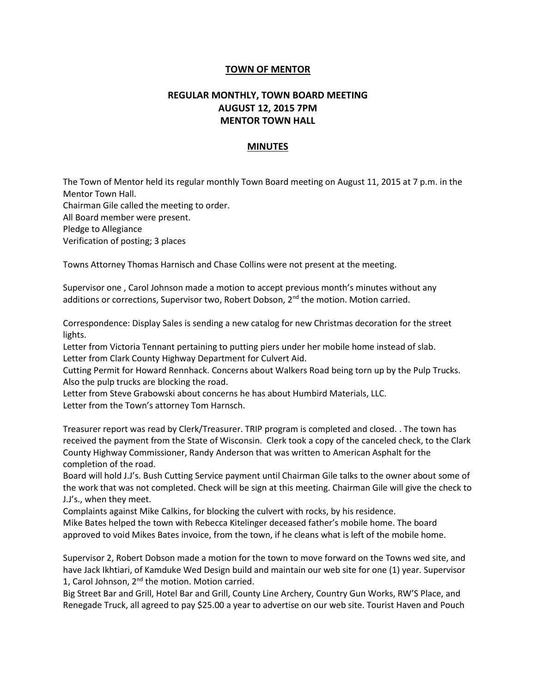## **TOWN OF MENTOR**

## **REGULAR MONTHLY, TOWN BOARD MEETING AUGUST 12, 2015 7PM MENTOR TOWN HALL**

## **MINUTES**

The Town of Mentor held its regular monthly Town Board meeting on August 11, 2015 at 7 p.m. in the Mentor Town Hall. Chairman Gile called the meeting to order. All Board member were present. Pledge to Allegiance Verification of posting; 3 places

Towns Attorney Thomas Harnisch and Chase Collins were not present at the meeting.

Supervisor one , Carol Johnson made a motion to accept previous month's minutes without any additions or corrections, Supervisor two, Robert Dobson, 2<sup>nd</sup> the motion. Motion carried.

Correspondence: Display Sales is sending a new catalog for new Christmas decoration for the street lights.

Letter from Victoria Tennant pertaining to putting piers under her mobile home instead of slab. Letter from Clark County Highway Department for Culvert Aid.

Cutting Permit for Howard Rennhack. Concerns about Walkers Road being torn up by the Pulp Trucks. Also the pulp trucks are blocking the road.

Letter from Steve Grabowski about concerns he has about Humbird Materials, LLC. Letter from the Town's attorney Tom Harnsch.

Treasurer report was read by Clerk/Treasurer. TRIP program is completed and closed. . The town has received the payment from the State of Wisconsin. Clerk took a copy of the canceled check, to the Clark County Highway Commissioner, Randy Anderson that was written to American Asphalt for the completion of the road.

Board will hold J.J's. Bush Cutting Service payment until Chairman Gile talks to the owner about some of the work that was not completed. Check will be sign at this meeting. Chairman Gile will give the check to J.J's., when they meet.

Complaints against Mike Calkins, for blocking the culvert with rocks, by his residence.

Mike Bates helped the town with Rebecca Kitelinger deceased father's mobile home. The board approved to void Mikes Bates invoice, from the town, if he cleans what is left of the mobile home.

Supervisor 2, Robert Dobson made a motion for the town to move forward on the Towns wed site, and have Jack Ikhtiari, of Kamduke Wed Design build and maintain our web site for one (1) year. Supervisor 1, Carol Johnson, 2<sup>nd</sup> the motion. Motion carried.

Big Street Bar and Grill, Hotel Bar and Grill, County Line Archery, Country Gun Works, RW'S Place, and Renegade Truck, all agreed to pay \$25.00 a year to advertise on our web site. Tourist Haven and Pouch